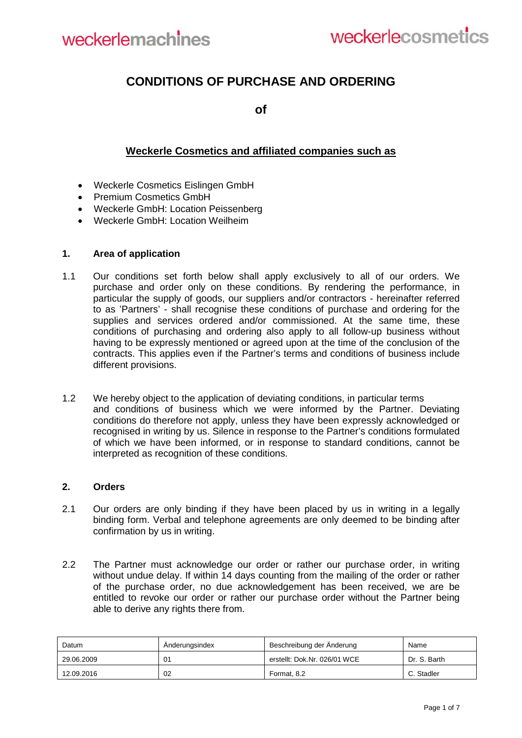

# **CONDITIONS OF PURCHASE AND ORDERING**

**of**

# **Weckerle Cosmetics and affiliated companies such as**

- Weckerle Cosmetics Eislingen GmbH
- Premium Cosmetics GmbH
- Weckerle GmbH: Location Peissenberg
- Weckerle GmbH: Location Weilheim

#### **1. Area of application**

- 1.1 Our conditions set forth below shall apply exclusively to all of our orders. We purchase and order only on these conditions. By rendering the performance, in particular the supply of goods, our suppliers and/or contractors - hereinafter referred to as 'Partners' - shall recognise these conditions of purchase and ordering for the supplies and services ordered and/or commissioned. At the same time, these conditions of purchasing and ordering also apply to all follow-up business without having to be expressly mentioned or agreed upon at the time of the conclusion of the contracts. This applies even if the Partner's terms and conditions of business include different provisions.
- 1.2 We hereby object to the application of deviating conditions, in particular terms and conditions of business which we were informed by the Partner. Deviating conditions do therefore not apply, unless they have been expressly acknowledged or recognised in writing by us. Silence in response to the Partner's conditions formulated of which we have been informed, or in response to standard conditions, cannot be interpreted as recognition of these conditions.

### **2. Orders**

- 2.1 Our orders are only binding if they have been placed by us in writing in a legally binding form. Verbal and telephone agreements are only deemed to be binding after confirmation by us in writing.
- 2.2 The Partner must acknowledge our order or rather our purchase order, in writing without undue delay. If within 14 days counting from the mailing of the order or rather of the purchase order, no due acknowledgement has been received, we are be entitled to revoke our order or rather our purchase order without the Partner being able to derive any rights there from.

| Datum      | Anderungsindex | Beschreibung der Änderung    | Name         |
|------------|----------------|------------------------------|--------------|
| 29.06.2009 | 01             | erstellt: Dok.Nr. 026/01 WCE | Dr. S. Barth |
| 12.09.2016 | 02             | Format, 8.2                  | C. Stadler   |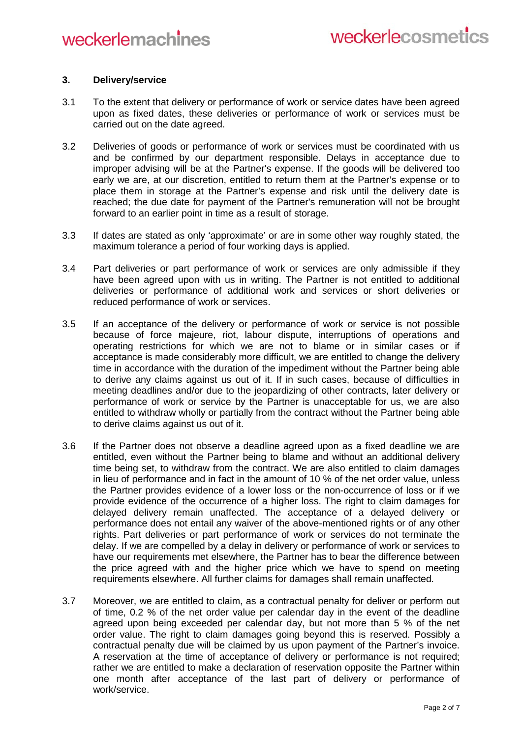### **3. Delivery/service**

- 3.1 To the extent that delivery or performance of work or service dates have been agreed upon as fixed dates, these deliveries or performance of work or services must be carried out on the date agreed.
- 3.2 Deliveries of goods or performance of work or services must be coordinated with us and be confirmed by our department responsible. Delays in acceptance due to improper advising will be at the Partner's expense. If the goods will be delivered too early we are, at our discretion, entitled to return them at the Partner's expense or to place them in storage at the Partner's expense and risk until the delivery date is reached; the due date for payment of the Partner's remuneration will not be brought forward to an earlier point in time as a result of storage.
- 3.3 If dates are stated as only 'approximate' or are in some other way roughly stated, the maximum tolerance a period of four working days is applied.
- 3.4 Part deliveries or part performance of work or services are only admissible if they have been agreed upon with us in writing. The Partner is not entitled to additional deliveries or performance of additional work and services or short deliveries or reduced performance of work or services.
- 3.5 If an acceptance of the delivery or performance of work or service is not possible because of force majeure, riot, labour dispute, interruptions of operations and operating restrictions for which we are not to blame or in similar cases or if acceptance is made considerably more difficult, we are entitled to change the delivery time in accordance with the duration of the impediment without the Partner being able to derive any claims against us out of it. If in such cases, because of difficulties in meeting deadlines and/or due to the jeopardizing of other contracts, later delivery or performance of work or service by the Partner is unacceptable for us, we are also entitled to withdraw wholly or partially from the contract without the Partner being able to derive claims against us out of it.
- 3.6 If the Partner does not observe a deadline agreed upon as a fixed deadline we are entitled, even without the Partner being to blame and without an additional delivery time being set, to withdraw from the contract. We are also entitled to claim damages in lieu of performance and in fact in the amount of 10 % of the net order value, unless the Partner provides evidence of a lower loss or the non-occurrence of loss or if we provide evidence of the occurrence of a higher loss. The right to claim damages for delayed delivery remain unaffected. The acceptance of a delayed delivery or performance does not entail any waiver of the above-mentioned rights or of any other rights. Part deliveries or part performance of work or services do not terminate the delay. If we are compelled by a delay in delivery or performance of work or services to have our requirements met elsewhere, the Partner has to bear the difference between the price agreed with and the higher price which we have to spend on meeting requirements elsewhere. All further claims for damages shall remain unaffected.
- 3.7 Moreover, we are entitled to claim, as a contractual penalty for deliver or perform out of time, 0.2 % of the net order value per calendar day in the event of the deadline agreed upon being exceeded per calendar day, but not more than 5 % of the net order value. The right to claim damages going beyond this is reserved. Possibly a contractual penalty due will be claimed by us upon payment of the Partner's invoice. A reservation at the time of acceptance of delivery or performance is not required; rather we are entitled to make a declaration of reservation opposite the Partner within one month after acceptance of the last part of delivery or performance of work/service.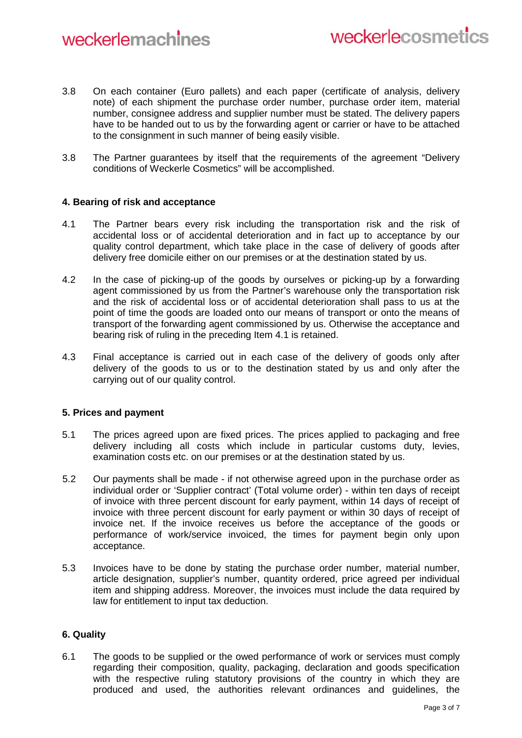- 3.8 On each container (Euro pallets) and each paper (certificate of analysis, delivery note) of each shipment the purchase order number, purchase order item, material number, consignee address and supplier number must be stated. The delivery papers have to be handed out to us by the forwarding agent or carrier or have to be attached to the consignment in such manner of being easily visible.
- 3.8 The Partner guarantees by itself that the requirements of the agreement "Delivery conditions of Weckerle Cosmetics" will be accomplished.

### **4. Bearing of risk and acceptance**

- 4.1 The Partner bears every risk including the transportation risk and the risk of accidental loss or of accidental deterioration and in fact up to acceptance by our quality control department, which take place in the case of delivery of goods after delivery free domicile either on our premises or at the destination stated by us.
- 4.2 In the case of picking-up of the goods by ourselves or picking-up by a forwarding agent commissioned by us from the Partner's warehouse only the transportation risk and the risk of accidental loss or of accidental deterioration shall pass to us at the point of time the goods are loaded onto our means of transport or onto the means of transport of the forwarding agent commissioned by us. Otherwise the acceptance and bearing risk of ruling in the preceding Item 4.1 is retained.
- 4.3 Final acceptance is carried out in each case of the delivery of goods only after delivery of the goods to us or to the destination stated by us and only after the carrying out of our quality control.

# **5. Prices and payment**

- 5.1 The prices agreed upon are fixed prices. The prices applied to packaging and free delivery including all costs which include in particular customs duty, levies, examination costs etc. on our premises or at the destination stated by us.
- 5.2 Our payments shall be made if not otherwise agreed upon in the purchase order as individual order or 'Supplier contract' (Total volume order) - within ten days of receipt of invoice with three percent discount for early payment, within 14 days of receipt of invoice with three percent discount for early payment or within 30 days of receipt of invoice net. If the invoice receives us before the acceptance of the goods or performance of work/service invoiced, the times for payment begin only upon acceptance.
- 5.3 Invoices have to be done by stating the purchase order number, material number, article designation, supplier's number, quantity ordered, price agreed per individual item and shipping address. Moreover, the invoices must include the data required by law for entitlement to input tax deduction.

# **6. Quality**

6.1 The goods to be supplied or the owed performance of work or services must comply regarding their composition, quality, packaging, declaration and goods specification with the respective ruling statutory provisions of the country in which they are produced and used, the authorities relevant ordinances and guidelines, the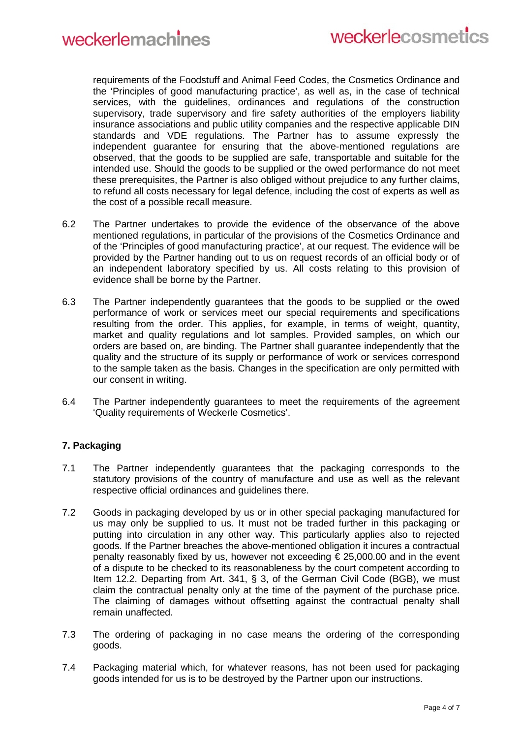requirements of the Foodstuff and Animal Feed Codes, the Cosmetics Ordinance and the 'Principles of good manufacturing practice', as well as, in the case of technical services, with the guidelines, ordinances and regulations of the construction supervisory, trade supervisory and fire safety authorities of the employers liability insurance associations and public utility companies and the respective applicable DIN standards and VDE regulations. The Partner has to assume expressly the independent guarantee for ensuring that the above-mentioned regulations are observed, that the goods to be supplied are safe, transportable and suitable for the intended use. Should the goods to be supplied or the owed performance do not meet these prerequisites, the Partner is also obliged without prejudice to any further claims, to refund all costs necessary for legal defence, including the cost of experts as well as the cost of a possible recall measure.

- 6.2 The Partner undertakes to provide the evidence of the observance of the above mentioned regulations, in particular of the provisions of the Cosmetics Ordinance and of the 'Principles of good manufacturing practice', at our request. The evidence will be provided by the Partner handing out to us on request records of an official body or of an independent laboratory specified by us. All costs relating to this provision of evidence shall be borne by the Partner.
- 6.3 The Partner independently guarantees that the goods to be supplied or the owed performance of work or services meet our special requirements and specifications resulting from the order. This applies, for example, in terms of weight, quantity, market and quality regulations and lot samples. Provided samples, on which our orders are based on, are binding. The Partner shall guarantee independently that the quality and the structure of its supply or performance of work or services correspond to the sample taken as the basis. Changes in the specification are only permitted with our consent in writing.
- 6.4 The Partner independently guarantees to meet the requirements of the agreement 'Quality requirements of Weckerle Cosmetics'.

# **7. Packaging**

- 7.1 The Partner independently guarantees that the packaging corresponds to the statutory provisions of the country of manufacture and use as well as the relevant respective official ordinances and guidelines there.
- 7.2 Goods in packaging developed by us or in other special packaging manufactured for us may only be supplied to us. It must not be traded further in this packaging or putting into circulation in any other way. This particularly applies also to rejected goods. If the Partner breaches the above-mentioned obligation it incures a contractual penalty reasonably fixed by us, however not exceeding  $\epsilon$  25,000.00 and in the event of a dispute to be checked to its reasonableness by the court competent according to Item 12.2. Departing from Art. 341, § 3, of the German Civil Code (BGB), we must claim the contractual penalty only at the time of the payment of the purchase price. The claiming of damages without offsetting against the contractual penalty shall remain unaffected.
- 7.3 The ordering of packaging in no case means the ordering of the corresponding goods.
- 7.4 Packaging material which, for whatever reasons, has not been used for packaging goods intended for us is to be destroyed by the Partner upon our instructions.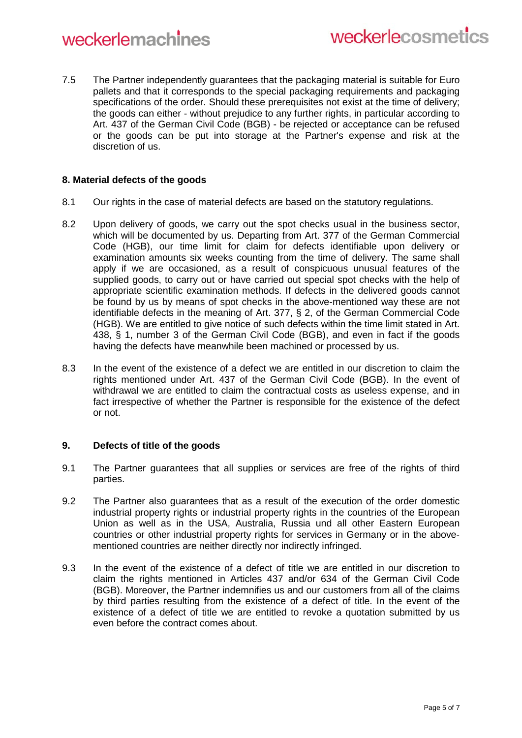# weckerlemachines

7.5 The Partner independently guarantees that the packaging material is suitable for Euro pallets and that it corresponds to the special packaging requirements and packaging specifications of the order. Should these prerequisites not exist at the time of delivery; the goods can either - without prejudice to any further rights, in particular according to Art. 437 of the German Civil Code (BGB) - be rejected or acceptance can be refused or the goods can be put into storage at the Partner's expense and risk at the discretion of us.

# **8. Material defects of the goods**

- 8.1 Our rights in the case of material defects are based on the statutory regulations.
- 8.2 Upon delivery of goods, we carry out the spot checks usual in the business sector, which will be documented by us. Departing from Art. 377 of the German Commercial Code (HGB), our time limit for claim for defects identifiable upon delivery or examination amounts six weeks counting from the time of delivery. The same shall apply if we are occasioned, as a result of conspicuous unusual features of the supplied goods, to carry out or have carried out special spot checks with the help of appropriate scientific examination methods. If defects in the delivered goods cannot be found by us by means of spot checks in the above-mentioned way these are not identifiable defects in the meaning of Art. 377, § 2, of the German Commercial Code (HGB). We are entitled to give notice of such defects within the time limit stated in Art. 438, § 1, number 3 of the German Civil Code (BGB), and even in fact if the goods having the defects have meanwhile been machined or processed by us.
- 8.3 In the event of the existence of a defect we are entitled in our discretion to claim the rights mentioned under Art. 437 of the German Civil Code (BGB). In the event of withdrawal we are entitled to claim the contractual costs as useless expense, and in fact irrespective of whether the Partner is responsible for the existence of the defect or not.

### **9. Defects of title of the goods**

- 9.1 The Partner guarantees that all supplies or services are free of the rights of third parties.
- 9.2 The Partner also guarantees that as a result of the execution of the order domestic industrial property rights or industrial property rights in the countries of the European Union as well as in the USA, Australia, Russia und all other Eastern European countries or other industrial property rights for services in Germany or in the abovementioned countries are neither directly nor indirectly infringed.
- 9.3 In the event of the existence of a defect of title we are entitled in our discretion to claim the rights mentioned in Articles 437 and/or 634 of the German Civil Code (BGB). Moreover, the Partner indemnifies us and our customers from all of the claims by third parties resulting from the existence of a defect of title. In the event of the existence of a defect of title we are entitled to revoke a quotation submitted by us even before the contract comes about.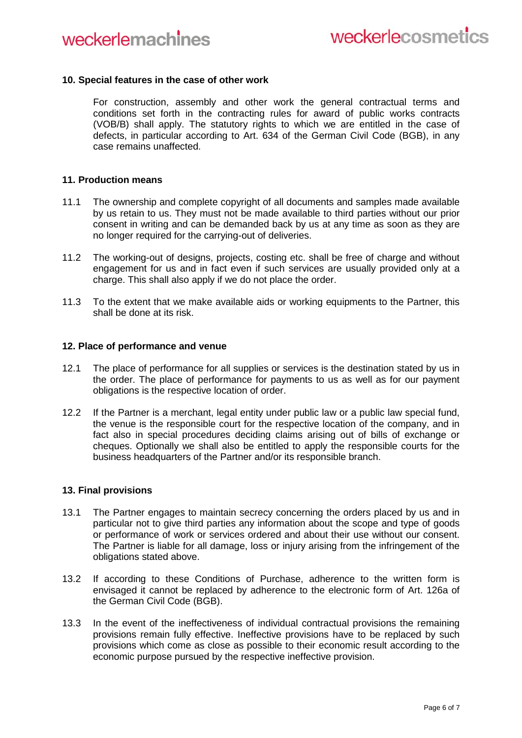### **10. Special features in the case of other work**

For construction, assembly and other work the general contractual terms and conditions set forth in the contracting rules for award of public works contracts (VOB/B) shall apply. The statutory rights to which we are entitled in the case of defects, in particular according to Art. 634 of the German Civil Code (BGB), in any case remains unaffected.

### **11. Production means**

- 11.1 The ownership and complete copyright of all documents and samples made available by us retain to us. They must not be made available to third parties without our prior consent in writing and can be demanded back by us at any time as soon as they are no longer required for the carrying-out of deliveries.
- 11.2 The working-out of designs, projects, costing etc. shall be free of charge and without engagement for us and in fact even if such services are usually provided only at a charge. This shall also apply if we do not place the order.
- 11.3 To the extent that we make available aids or working equipments to the Partner, this shall be done at its risk.

#### **12. Place of performance and venue**

- 12.1 The place of performance for all supplies or services is the destination stated by us in the order. The place of performance for payments to us as well as for our payment obligations is the respective location of order.
- 12.2 If the Partner is a merchant, legal entity under public law or a public law special fund, the venue is the responsible court for the respective location of the company, and in fact also in special procedures deciding claims arising out of bills of exchange or cheques. Optionally we shall also be entitled to apply the responsible courts for the business headquarters of the Partner and/or its responsible branch.

### **13. Final provisions**

- 13.1 The Partner engages to maintain secrecy concerning the orders placed by us and in particular not to give third parties any information about the scope and type of goods or performance of work or services ordered and about their use without our consent. The Partner is liable for all damage, loss or injury arising from the infringement of the obligations stated above.
- 13.2 If according to these Conditions of Purchase, adherence to the written form is envisaged it cannot be replaced by adherence to the electronic form of Art. 126a of the German Civil Code (BGB).
- 13.3 In the event of the ineffectiveness of individual contractual provisions the remaining provisions remain fully effective. Ineffective provisions have to be replaced by such provisions which come as close as possible to their economic result according to the economic purpose pursued by the respective ineffective provision.